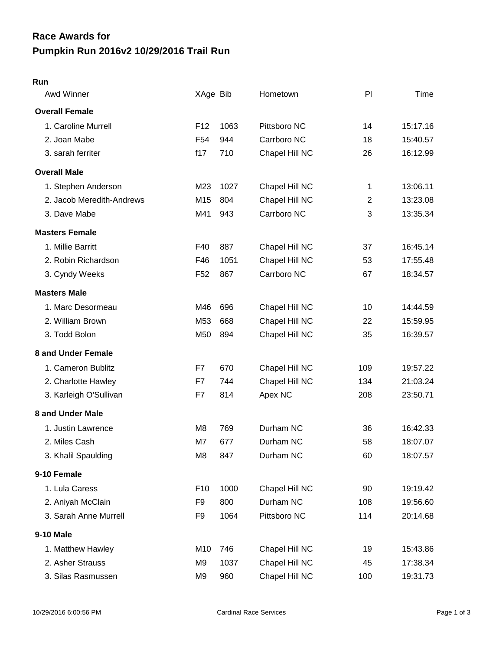## **Pumpkin Run 2016v2 10/29/2016 Trail Run Race Awards for**

## **Run**

| Awd Winner                | XAge Bib        |      | Hometown       | PI             | Time     |
|---------------------------|-----------------|------|----------------|----------------|----------|
| <b>Overall Female</b>     |                 |      |                |                |          |
| 1. Caroline Murrell       | F <sub>12</sub> | 1063 | Pittsboro NC   | 14             | 15:17.16 |
| 2. Joan Mabe              | F <sub>54</sub> | 944  | Carrboro NC    | 18             | 15:40.57 |
| 3. sarah ferriter         | f17             | 710  | Chapel Hill NC | 26             | 16:12.99 |
| <b>Overall Male</b>       |                 |      |                |                |          |
| 1. Stephen Anderson       | M23             | 1027 | Chapel Hill NC | 1              | 13:06.11 |
| 2. Jacob Meredith-Andrews | M15             | 804  | Chapel Hill NC | $\overline{2}$ | 13:23.08 |
| 3. Dave Mabe              | M41             | 943  | Carrboro NC    | 3              | 13:35.34 |
| <b>Masters Female</b>     |                 |      |                |                |          |
| 1. Millie Barritt         | F40             | 887  | Chapel Hill NC | 37             | 16:45.14 |
| 2. Robin Richardson       | F46             | 1051 | Chapel Hill NC | 53             | 17:55.48 |
| 3. Cyndy Weeks            | F <sub>52</sub> | 867  | Carrboro NC    | 67             | 18:34.57 |
| <b>Masters Male</b>       |                 |      |                |                |          |
| 1. Marc Desormeau         | M46             | 696  | Chapel Hill NC | 10             | 14:44.59 |
| 2. William Brown          | M53             | 668  | Chapel Hill NC | 22             | 15:59.95 |
| 3. Todd Bolon             | M50             | 894  | Chapel Hill NC | 35             | 16:39.57 |
| 8 and Under Female        |                 |      |                |                |          |
| 1. Cameron Bublitz        | F7              | 670  | Chapel Hill NC | 109            | 19:57.22 |
| 2. Charlotte Hawley       | F7              | 744  | Chapel Hill NC | 134            | 21:03.24 |
| 3. Karleigh O'Sullivan    | F7              | 814  | Apex NC        | 208            | 23:50.71 |
| 8 and Under Male          |                 |      |                |                |          |
| 1. Justin Lawrence        | M <sub>8</sub>  | 769  | Durham NC      | 36             | 16:42.33 |
| 2. Miles Cash             | M7              | 677  | Durham NC      | 58             | 18:07.07 |
| 3. Khalil Spaulding       | M <sub>8</sub>  | 847  | Durham NC      | 60             | 18:07.57 |
| 9-10 Female               |                 |      |                |                |          |
| 1. Lula Caress            | F <sub>10</sub> | 1000 | Chapel Hill NC | 90             | 19:19.42 |
| 2. Aniyah McClain         | F9              | 800  | Durham NC      | 108            | 19:56.60 |
| 3. Sarah Anne Murrell     | F <sub>9</sub>  | 1064 | Pittsboro NC   | 114            | 20:14.68 |
| 9-10 Male                 |                 |      |                |                |          |
| 1. Matthew Hawley         | M10             | 746  | Chapel Hill NC | 19             | 15:43.86 |
| 2. Asher Strauss          | M9              | 1037 | Chapel Hill NC | 45             | 17:38.34 |
| 3. Silas Rasmussen        | M <sub>9</sub>  | 960  | Chapel Hill NC | 100            | 19:31.73 |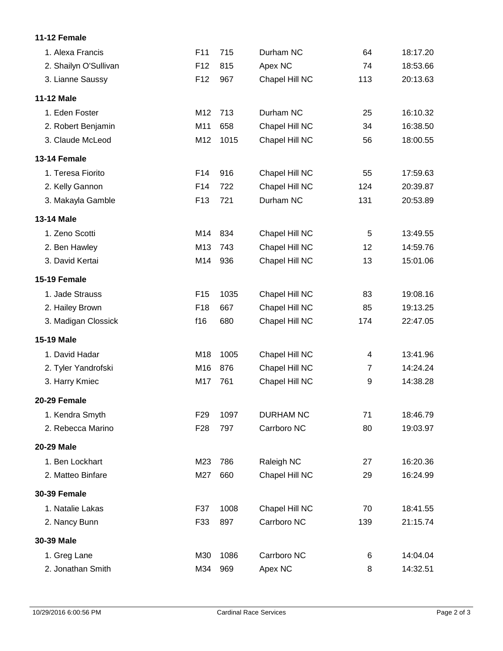## **11-12 Female**

| 1. Alexa Francis      | F11             | 715  | Durham NC        | 64             | 18:17.20 |
|-----------------------|-----------------|------|------------------|----------------|----------|
| 2. Shailyn O'Sullivan | F <sub>12</sub> | 815  | Apex NC          | 74             | 18:53.66 |
| 3. Lianne Saussy      | F <sub>12</sub> | 967  | Chapel Hill NC   | 113            | 20:13.63 |
| <b>11-12 Male</b>     |                 |      |                  |                |          |
| 1. Eden Foster        | M12             | 713  | Durham NC        | 25             | 16:10.32 |
| 2. Robert Benjamin    | M11             | 658  | Chapel Hill NC   | 34             | 16:38.50 |
| 3. Claude McLeod      | M12             | 1015 | Chapel Hill NC   | 56             | 18:00.55 |
| 13-14 Female          |                 |      |                  |                |          |
| 1. Teresa Fiorito     | F14             | 916  | Chapel Hill NC   | 55             | 17:59.63 |
| 2. Kelly Gannon       | F14             | 722  | Chapel Hill NC   | 124            | 20:39.87 |
| 3. Makayla Gamble     | F <sub>13</sub> | 721  | Durham NC        | 131            | 20:53.89 |
| 13-14 Male            |                 |      |                  |                |          |
| 1. Zeno Scotti        | M14             | 834  | Chapel Hill NC   | 5              | 13:49.55 |
| 2. Ben Hawley         | M13             | 743  | Chapel Hill NC   | 12             | 14:59.76 |
| 3. David Kertai       | M14             | 936  | Chapel Hill NC   | 13             | 15:01.06 |
| 15-19 Female          |                 |      |                  |                |          |
| 1. Jade Strauss       | F <sub>15</sub> | 1035 | Chapel Hill NC   | 83             | 19:08.16 |
| 2. Hailey Brown       | F <sub>18</sub> | 667  | Chapel Hill NC   | 85             | 19:13.25 |
| 3. Madigan Clossick   | f16             | 680  | Chapel Hill NC   | 174            | 22:47.05 |
| 15-19 Male            |                 |      |                  |                |          |
| 1. David Hadar        | M18             | 1005 | Chapel Hill NC   | 4              | 13:41.96 |
| 2. Tyler Yandrofski   | M16             | 876  | Chapel Hill NC   | $\overline{7}$ | 14:24.24 |
| 3. Harry Kmiec        | M17             | 761  | Chapel Hill NC   | 9              | 14:38.28 |
| 20-29 Female          |                 |      |                  |                |          |
| 1. Kendra Smyth       | F <sub>29</sub> | 1097 | <b>DURHAM NC</b> | 71             | 18:46.79 |
| 2. Rebecca Marino     | F <sub>28</sub> | 797  | Carrboro NC      | 80             | 19:03.97 |
| 20-29 Male            |                 |      |                  |                |          |
| 1. Ben Lockhart       | M23             | 786  | Raleigh NC       | 27             | 16:20.36 |
| 2. Matteo Binfare     | M27             | 660  | Chapel Hill NC   | 29             | 16:24.99 |
| <b>30-39 Female</b>   |                 |      |                  |                |          |
| 1. Natalie Lakas      | F37             | 1008 | Chapel Hill NC   | 70             | 18:41.55 |
| 2. Nancy Bunn         | F33             | 897  | Carrboro NC      | 139            | 21:15.74 |
| 30-39 Male            |                 |      |                  |                |          |
| 1. Greg Lane          | M30             | 1086 | Carrboro NC      | 6              | 14:04.04 |
| 2. Jonathan Smith     | M34             | 969  | Apex NC          | 8              | 14:32.51 |